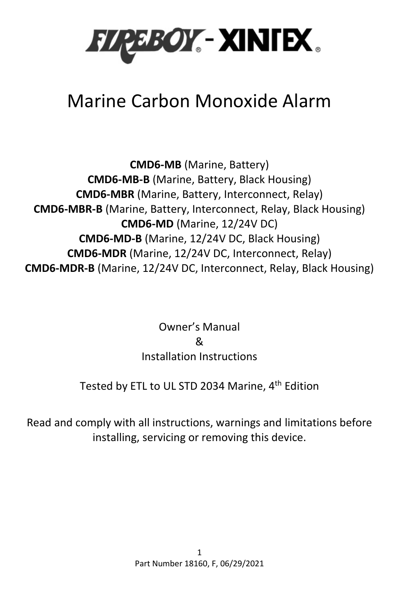

# Marine Carbon Monoxide Alarm

**CMD6-MB** (Marine, Battery) **CMD6-MB-B** (Marine, Battery, Black Housing) **CMD6-MBR** (Marine, Battery, Interconnect, Relay) **CMD6-MBR-B** (Marine, Battery, Interconnect, Relay, Black Housing) **CMD6-MD** (Marine, 12/24V DC) **CMD6-MD-B** (Marine, 12/24V DC, Black Housing) **CMD6-MDR** (Marine, 12/24V DC, Interconnect, Relay) **CMD6-MDR-B** (Marine, 12/24V DC, Interconnect, Relay, Black Housing)

> Owner's Manual & Installation Instructions

## Tested by ETL to UL STD 2034 Marine, 4<sup>th</sup> Edition

Read and comply with all instructions, warnings and limitations before installing, servicing or removing this device.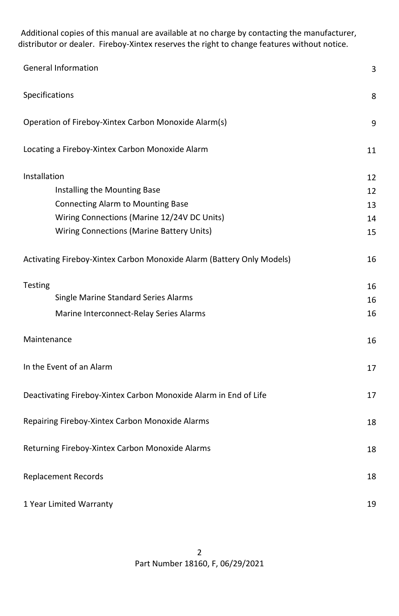Additional copies of this manual are available at no charge by contacting the manufacturer, distributor or dealer. Fireboy-Xintex reserves the right to change features without notice.

| <b>General Information</b>                                            |    |  |
|-----------------------------------------------------------------------|----|--|
| Specifications                                                        | 8  |  |
| Operation of Fireboy-Xintex Carbon Monoxide Alarm(s)                  | 9  |  |
| Locating a Fireboy-Xintex Carbon Monoxide Alarm                       | 11 |  |
| Installation                                                          | 12 |  |
| Installing the Mounting Base                                          | 12 |  |
| Connecting Alarm to Mounting Base                                     | 13 |  |
| Wiring Connections (Marine 12/24V DC Units)                           | 14 |  |
| Wiring Connections (Marine Battery Units)                             | 15 |  |
| Activating Fireboy-Xintex Carbon Monoxide Alarm (Battery Only Models) | 16 |  |
| <b>Testing</b>                                                        | 16 |  |
| Single Marine Standard Series Alarms                                  | 16 |  |
| Marine Interconnect-Relay Series Alarms                               | 16 |  |
| Maintenance                                                           | 16 |  |
| In the Event of an Alarm                                              | 17 |  |
| Deactivating Fireboy-Xintex Carbon Monoxide Alarm in End of Life      |    |  |
| Repairing Fireboy-Xintex Carbon Monoxide Alarms                       | 18 |  |
| Returning Fireboy-Xintex Carbon Monoxide Alarms                       | 18 |  |
| <b>Replacement Records</b>                                            | 18 |  |
| 1 Year Limited Warranty                                               |    |  |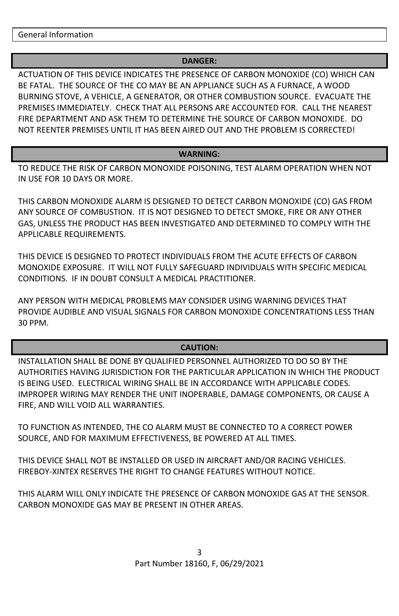## **DANGER:**

ACTUATION OF THIS DEVICE INDICATES THE PRESENCE OF CARBON MONOXIDE (CO) WHICH CAN BE FATAL. THE SOURCE OF THE CO MAY BE AN APPLIANCE SUCH AS A FURNACE, A WOOD BURNING STOVE, A VEHICLE, A GENERATOR, OR OTHER COMBUSTION SOURCE. EVACUATE THE PREMISES IMMEDIATELY. CHECK THAT ALL PERSONS ARE ACCOUNTED FOR. CALL THE NEAREST FIRE DEPARTMENT AND ASK THEM TO DETERMINE THE SOURCE OF CARBON MONOXIDE. DO NOT REENTER PREMISES UNTIL IT HAS BEEN AIRED OUT AND THE PROBLEM IS CORRECTED!

## **WARNING:**

TO REDUCE THE RISK OF CARBON MONOXIDE POISONING, TEST ALARM OPERATION WHEN NOT IN USE FOR 10 DAYS OR MORE.

THIS CARBON MONOXIDE ALARM IS DESIGNED TO DETECT CARBON MONOXIDE (CO) GAS FROM ANY SOURCE OF COMBUSTION. IT IS NOT DESIGNED TO DETECT SMOKE, FIRE OR ANY OTHER GAS, UNLESS THE PRODUCT HAS BEEN INVESTIGATED AND DETERMINED TO COMPLY WITH THE APPLICABLE REQUIREMENTS.

THIS DEVICE IS DESIGNED TO PROTECT INDIVIDUALS FROM THE ACUTE EFFECTS OF CARBON MONOXIDE EXPOSURE. IT WILL NOT FULLY SAFEGUARD INDIVIDUALS WITH SPECIFIC MEDICAL CONDITIONS. IF IN DOUBT CONSULT A MEDICAL PRACTITIONER.

ANY PERSON WITH MEDICAL PROBLEMS MAY CONSIDER USING WARNING DEVICES THAT PROVIDE AUDIBLE AND VISUAL SIGNALS FOR CARBON MONOXIDE CONCENTRATIONS LESS THAN 30 PPM.

## **CAUTION:**

INSTALLATION SHALL BE DONE BY QUALIFIED PERSONNEL AUTHORIZED TO DO SO BY THE AUTHORITIES HAVING JURISDICTION FOR THE PARTICULAR APPLICATION IN WHICH THE PRODUCT IS BEING USED. ELECTRICAL WIRING SHALL BE IN ACCORDANCE WITH APPLICABLE CODES. IMPROPER WIRING MAY RENDER THE UNIT INOPERABLE, DAMAGE COMPONENTS, OR CAUSE A FIRE, AND WILL VOID ALL WARRANTIES.

TO FUNCTION AS INTENDED, THE CO ALARM MUST BE CONNECTED TO A CORRECT POWER SOURCE, AND FOR MAXIMUM EFFECTIVENESS, BE POWERED AT ALL TIMES.

THIS DEVICE SHALL NOT BE INSTALLED OR USED IN AIRCRAFT AND/OR RACING VEHICLES. FIREBOY-XINTEX RESERVES THE RIGHT TO CHANGE FEATURES WITHOUT NOTICE.

THIS ALARM WILL ONLY INDICATE THE PRESENCE OF CARBON MONOXIDE GAS AT THE SENSOR. CARBON MONOXIDE GAS MAY BE PRESENT IN OTHER AREAS.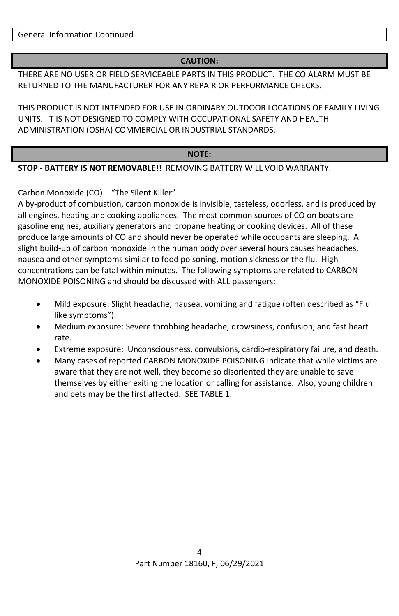General Information Continued

## **CAUTION:**

THERE ARE NO USER OR FIELD SERVICEABLE PARTS IN THIS PRODUCT. THE CO ALARM MUST BE RETURNED TO THE MANUFACTURER FOR ANY REPAIR OR PERFORMANCE CHECKS.

THIS PRODUCT IS NOT INTENDED FOR USE IN ORDINARY OUTDOOR LOCATIONS OF FAMILY LIVING UNITS. IT IS NOT DESIGNED TO COMPLY WITH OCCUPATIONAL SAFETY AND HEALTH ADMINISTRATION (OSHA) COMMERCIAL OR INDUSTRIAL STANDARDS.

#### **NOTE:**

**STOP - BATTERY IS NOT REMOVABLE!!** REMOVING BATTERY WILL VOID WARRANTY.

## Carbon Monoxide (CO) – "The Silent Killer"

A by-product of combustion, carbon monoxide is invisible, tasteless, odorless, and is produced by all engines, heating and cooking appliances. The most common sources of CO on boats are gasoline engines, auxiliary generators and propane heating or cooking devices. All of these produce large amounts of CO and should never be operated while occupants are sleeping. A slight build-up of carbon monoxide in the human body over several hours causes headaches, nausea and other symptoms similar to food poisoning, motion sickness or the flu. High concentrations can be fatal within minutes. The following symptoms are related to CARBON MONOXIDE POISONING and should be discussed with ALL passengers:

- Mild exposure: Slight headache, nausea, vomiting and fatigue (often described as "Flu like symptoms").
- Medium exposure: Severe throbbing headache, drowsiness, confusion, and fast heart rate.
- Extreme exposure: Unconsciousness, convulsions, cardio-respiratory failure, and death.
- Many cases of reported CARBON MONOXIDE POISONING indicate that while victims are aware that they are not well, they become so disoriented they are unable to save themselves by either exiting the location or calling for assistance. Also, young children and pets may be the first affected. SEE TABLE 1.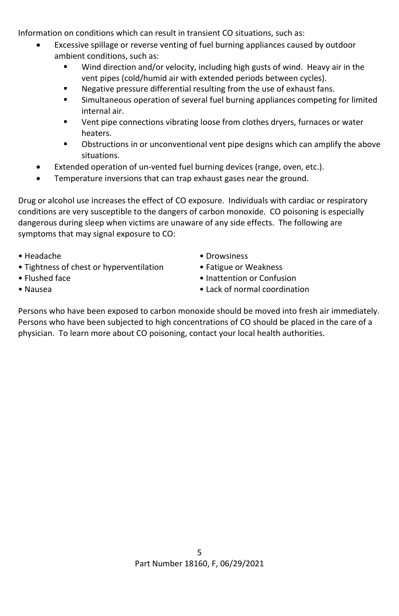Information on conditions which can result in transient CO situations, such as:

- Excessive spillage or reverse venting of fuel burning appliances caused by outdoor ambient conditions, such as:
	- Wind direction and/or velocity, including high gusts of wind. Heavy air in the vent pipes (cold/humid air with extended periods between cycles).
	- Negative pressure differential resulting from the use of exhaust fans.
	- Simultaneous operation of several fuel burning appliances competing for limited internal air.
	- Vent pipe connections vibrating loose from clothes dryers, furnaces or water heaters.
	- Obstructions in or unconventional vent pipe designs which can amplify the above situations.
- Extended operation of un-vented fuel burning devices (range, oven, etc.).
- Temperature inversions that can trap exhaust gases near the ground.

Drug or alcohol use increases the effect of CO exposure. Individuals with cardiac or respiratory conditions are very susceptible to the dangers of carbon monoxide. CO poisoning is especially dangerous during sleep when victims are unaware of any side effects. The following are symptoms that may signal exposure to CO:

- 
- Tightness of chest or hyperventilation Fatigue or Weakness
- Headache Drowsiness
	-
- Flushed face  **Inattention or Confusion**
- 
- Nausea Lack of normal coordination

Persons who have been exposed to carbon monoxide should be moved into fresh air immediately. Persons who have been subjected to high concentrations of CO should be placed in the care of a physician. To learn more about CO poisoning, contact your local health authorities.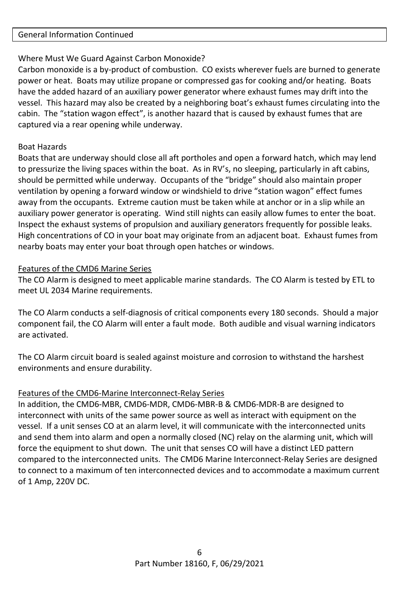#### General Information Continued

## Where Must We Guard Against Carbon Monoxide?

Carbon monoxide is a by-product of combustion. CO exists wherever fuels are burned to generate power or heat. Boats may utilize propane or compressed gas for cooking and/or heating. Boats have the added hazard of an auxiliary power generator where exhaust fumes may drift into the vessel. This hazard may also be created by a neighboring boat's exhaust fumes circulating into the cabin. The "station wagon effect", is another hazard that is caused by exhaust fumes that are captured via a rear opening while underway.

## Boat Hazards

Boats that are underway should close all aft portholes and open a forward hatch, which may lend to pressurize the living spaces within the boat. As in RV's, no sleeping, particularly in aft cabins, should be permitted while underway. Occupants of the "bridge" should also maintain proper ventilation by opening a forward window or windshield to drive "station wagon" effect fumes away from the occupants. Extreme caution must be taken while at anchor or in a slip while an auxiliary power generator is operating. Wind still nights can easily allow fumes to enter the boat. Inspect the exhaust systems of propulsion and auxiliary generators frequently for possible leaks. High concentrations of CO in your boat may originate from an adjacent boat. Exhaust fumes from nearby boats may enter your boat through open hatches or windows.

## Features of the CMD6 Marine Series

The CO Alarm is designed to meet applicable marine standards. The CO Alarm is tested by ETL to meet UL 2034 Marine requirements.

The CO Alarm conducts a self-diagnosis of critical components every 180 seconds. Should a major component fail, the CO Alarm will enter a fault mode. Both audible and visual warning indicators are activated.

The CO Alarm circuit board is sealed against moisture and corrosion to withstand the harshest environments and ensure durability.

## Features of the CMD6-Marine Interconnect-Relay Series

In addition, the CMD6-MBR, CMD6-MDR, CMD6-MBR-B & CMD6-MDR-B are designed to interconnect with units of the same power source as well as interact with equipment on the vessel. If a unit senses CO at an alarm level, it will communicate with the interconnected units and send them into alarm and open a normally closed (NC) relay on the alarming unit, which will force the equipment to shut down. The unit that senses CO will have a distinct LED pattern compared to the interconnected units. The CMD6 Marine Interconnect-Relay Series are designed to connect to a maximum of ten interconnected devices and to accommodate a maximum current of 1 Amp, 220V DC.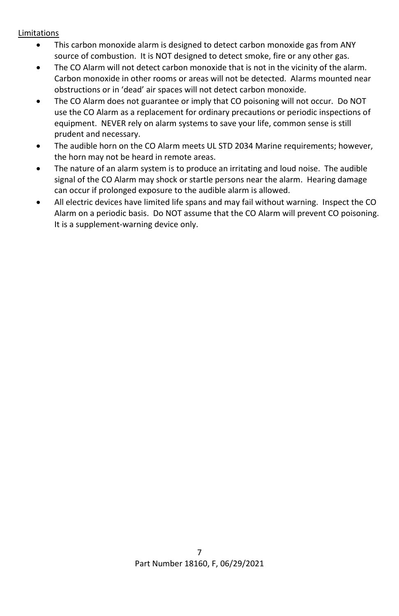## Limitations

- This carbon monoxide alarm is designed to detect carbon monoxide gas from ANY source of combustion. It is NOT designed to detect smoke, fire or any other gas.
- The CO Alarm will not detect carbon monoxide that is not in the vicinity of the alarm. Carbon monoxide in other rooms or areas will not be detected. Alarms mounted near obstructions or in 'dead' air spaces will not detect carbon monoxide.
- The CO Alarm does not guarantee or imply that CO poisoning will not occur. Do NOT use the CO Alarm as a replacement for ordinary precautions or periodic inspections of equipment. NEVER rely on alarm systems to save your life, common sense is still prudent and necessary.
- The audible horn on the CO Alarm meets UL STD 2034 Marine requirements; however, the horn may not be heard in remote areas.
- The nature of an alarm system is to produce an irritating and loud noise. The audible signal of the CO Alarm may shock or startle persons near the alarm. Hearing damage can occur if prolonged exposure to the audible alarm is allowed.
- All electric devices have limited life spans and may fail without warning. Inspect the CO Alarm on a periodic basis. Do NOT assume that the CO Alarm will prevent CO poisoning. It is a supplement-warning device only.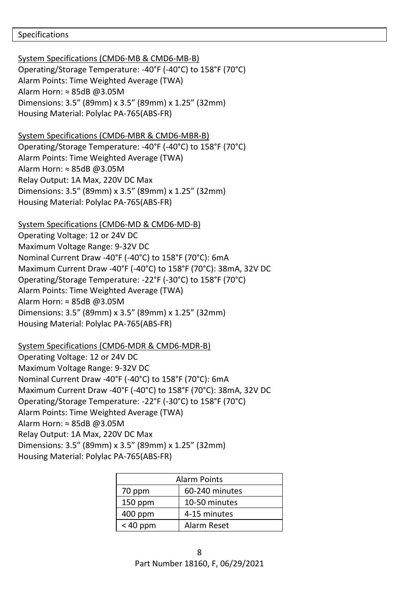#### Specifications

System Specifications (CMD6-MB & CMD6-MB-B) Operating/Storage Temperature: -40°F (-40°C) to 158°F (70°C) Alarm Points: Time Weighted Average (TWA) Alarm Horn: ≈ 85dB @3.05M Dimensions: 3.5" (89mm) x 3.5" (89mm) x 1.25" (32mm) Housing Material: Polylac PA-765(ABS-FR)

System Specifications (CMD6-MBR & CMD6-MBR-B) Operating/Storage Temperature: -40°F (-40°C) to 158°F (70°C) Alarm Points: Time Weighted Average (TWA) Alarm Horn: ≈ 85dB @3.05M Relay Output: 1A Max, 220V DC Max Dimensions: 3.5" (89mm) x 3.5" (89mm) x 1.25" (32mm) Housing Material: Polylac PA-765(ABS-FR)

System Specifications (CMD6-MD & CMD6-MD-B) Operating Voltage: 12 or 24V DC Maximum Voltage Range: 9-32V DC Nominal Current Draw -40°F (-40°C) to 158°F (70°C): 6mA Maximum Current Draw -40°F (-40°C) to 158°F (70°C): 38mA, 32V DC Operating/Storage Temperature: -22°F (-30°C) to 158°F (70°C) Alarm Points: Time Weighted Average (TWA) Alarm Horn: ≈ 85dB @3.05M Dimensions: 3.5" (89mm) x 3.5" (89mm) x 1.25" (32mm) Housing Material: Polylac PA-765(ABS-FR)

System Specifications (CMD6-MDR & CMD6-MDR-B) Operating Voltage: 12 or 24V DC Maximum Voltage Range: 9-32V DC Nominal Current Draw -40°F (-40°C) to 158°F (70°C): 6mA Maximum Current Draw -40°F (-40°C) to 158°F (70°C): 38mA, 32V DC Operating/Storage Temperature: -22°F (-30°C) to 158°F (70°C) Alarm Points: Time Weighted Average (TWA) Alarm Horn: ≈ 85dB @3.05M Relay Output: 1A Max, 220V DC Max Dimensions: 3.5" (89mm) x 3.5" (89mm) x 1.25" (32mm) Housing Material: Polylac PA-765(ABS-FR)

| <b>Alarm Points</b> |                |  |  |  |
|---------------------|----------------|--|--|--|
| 70 ppm              | 60-240 minutes |  |  |  |
| $150$ ppm           | 10-50 minutes  |  |  |  |
| 400 ppm             | 4-15 minutes   |  |  |  |
| $< 40$ ppm          | Alarm Reset    |  |  |  |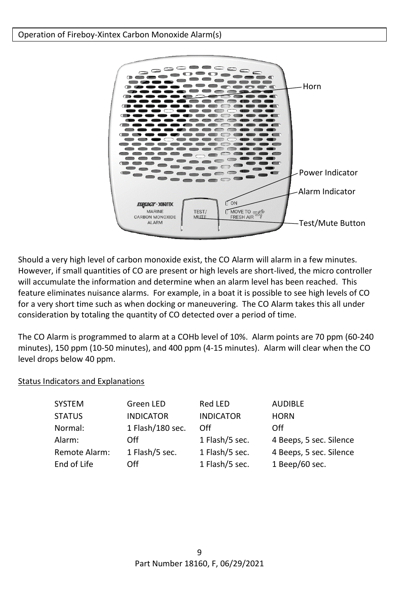

Should a very high level of carbon monoxide exist, the CO Alarm will alarm in a few minutes. However, if small quantities of CO are present or high levels are short-lived, the micro controller will accumulate the information and determine when an alarm level has been reached. This feature eliminates nuisance alarms. For example, in a boat it is possible to see high levels of CO for a very short time such as when docking or maneuvering. The CO Alarm takes this all under consideration by totaling the quantity of CO detected over a period of time.

The CO Alarm is programmed to alarm at a COHb level of 10%. Alarm points are 70 ppm (60-240 minutes), 150 ppm (10-50 minutes), and 400 ppm (4-15 minutes). Alarm will clear when the CO level drops below 40 ppm.

## Status Indicators and Explanations

| <b>SYSTEM</b> | Green LED        | Red LED          | <b>AUDIBLE</b>          |
|---------------|------------------|------------------|-------------------------|
| <b>STATUS</b> | <b>INDICATOR</b> | <b>INDICATOR</b> | <b>HORN</b>             |
| Normal:       | 1 Flash/180 sec. | Off              | Off                     |
| Alarm:        | Off              | 1 Flash/5 sec.   | 4 Beeps, 5 sec. Silence |
| Remote Alarm: | 1 Flash/5 sec.   | 1 Flash/5 sec.   | 4 Beeps, 5 sec. Silence |
| End of Life   | Off              | 1 Flash/5 sec.   | 1 Beep/60 sec.          |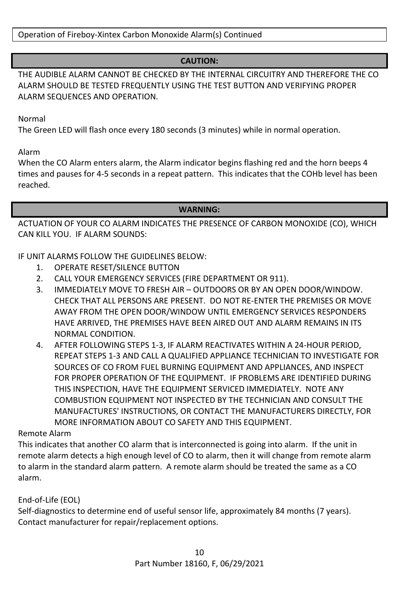Operation of Fireboy-Xintex Carbon Monoxide Alarm(s) Continued

## **CAUTION:**

THE AUDIBLE ALARM CANNOT BE CHECKED BY THE INTERNAL CIRCUITRY AND THEREFORE THE CO ALARM SHOULD BE TESTED FREQUENTLY USING THE TEST BUTTON AND VERIFYING PROPER ALARM SEQUENCES AND OPERATION.

Normal

The Green LED will flash once every 180 seconds (3 minutes) while in normal operation.

Alarm

When the CO Alarm enters alarm, the Alarm indicator begins flashing red and the horn beeps 4 times and pauses for 4-5 seconds in a repeat pattern. This indicates that the COHb level has been reached.

#### **WARNING:**

ACTUATION OF YOUR CO ALARM INDICATES THE PRESENCE OF CARBON MONOXIDE (CO), WHICH CAN KILL YOU. IF ALARM SOUNDS:

## IF UNIT ALARMS FOLLOW THE GUIDELINES BELOW:

- 1. OPERATE RESET/SILENCE BUTTON
- 2. CALL YOUR EMERGENCY SERVICES (FIRE DEPARTMENT OR 911).
- 3. IMMEDIATELY MOVE TO FRESH AIR OUTDOORS OR BY AN OPEN DOOR/WINDOW. CHECK THAT ALL PERSONS ARE PRESENT. DO NOT RE-ENTER THE PREMISES OR MOVE AWAY FROM THE OPEN DOOR/WINDOW UNTIL EMERGENCY SERVICES RESPONDERS HAVE ARRIVED, THE PREMISES HAVE BEEN AIRED OUT AND ALARM REMAINS IN ITS NORMAL CONDITION.
- 4. AFTER FOLLOWING STEPS 1-3, IF ALARM REACTIVATES WITHIN A 24-HOUR PERIOD, REPEAT STEPS 1-3 AND CALL A QUALIFIED APPLIANCE TECHNICIAN TO INVESTIGATE FOR SOURCES OF CO FROM FUEL BURNING EQUIPMENT AND APPLIANCES, AND INSPECT FOR PROPER OPERATION OF THE EQUIPMENT. IF PROBLEMS ARE IDENTIFIED DURING THIS INSPECTION, HAVE THE EQUIPMENT SERVICED IMMEDIATELY. NOTE ANY COMBUSTION EQUIPMENT NOT INSPECTED BY THE TECHNICIAN AND CONSULT THE MANUFACTURES' INSTRUCTIONS, OR CONTACT THE MANUFACTURERS DIRECTLY, FOR MORE INFORMATION ABOUT CO SAFETY AND THIS EQUIPMENT.

## Remote Alarm

This indicates that another CO alarm that is interconnected is going into alarm. If the unit in remote alarm detects a high enough level of CO to alarm, then it will change from remote alarm to alarm in the standard alarm pattern. A remote alarm should be treated the same as a CO alarm.

End-of-Life (EOL)

Self-diagnostics to determine end of useful sensor life, approximately 84 months (7 years). Contact manufacturer for repair/replacement options.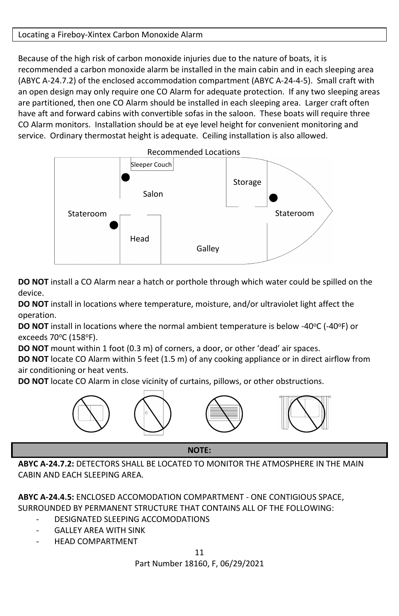## Locating a Fireboy-Xintex Carbon Monoxide Alarm

Because of the high risk of carbon monoxide injuries due to the nature of boats, it is recommended a carbon monoxide alarm be installed in the main cabin and in each sleeping area (ABYC A-24.7.2) of the enclosed accommodation compartment (ABYC A-24-4-5). Small craft with an open design may only require one CO Alarm for adequate protection. If any two sleeping areas are partitioned, then one CO Alarm should be installed in each sleeping area. Larger craft often have aft and forward cabins with convertible sofas in the saloon. These boats will require three CO Alarm monitors. Installation should be at eye level height for convenient monitoring and service. Ordinary thermostat height is adequate. Ceiling installation is also allowed.



**DO NOT** install a CO Alarm near a hatch or porthole through which water could be spilled on the device.

**DO NOT** install in locations where temperature, moisture, and/or ultraviolet light affect the operation.

DO NOT install in locations where the normal ambient temperature is below -40°C (-40°F) or exceeds 70°C (158°F).

**DO NOT** mount within 1 foot (0.3 m) of corners, a door, or other 'dead' air spaces.

**DO NOT** locate CO Alarm within 5 feet (1.5 m) of any cooking appliance or in direct airflow from air conditioning or heat vents.

**DO NOT** locate CO Alarm in close vicinity of curtains, pillows, or other obstructions.



**NOTE:**

**ABYC A-24.7.2:** DETECTORS SHALL BE LOCATED TO MONITOR THE ATMOSPHERE IN THE MAIN CABIN AND FACH SLEEPING AREA.

**ABYC A-24.4.5:** ENCLOSED ACCOMODATION COMPARTMENT - ONE CONTIGIOUS SPACE, SURROUNDED BY PERMANENT STRUCTURE THAT CONTAINS ALL OF THE FOLLOWING:

- DESIGNATED SLEEPING ACCOMODATIONS
- GALLEY AREA WITH SINK
- HEAD COMPARTMENT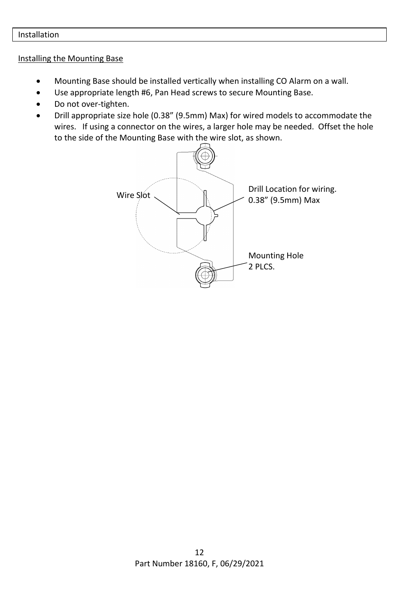#### Installation

#### Installing the Mounting Base

- Mounting Base should be installed vertically when installing CO Alarm on a wall.
- Use appropriate length #6, Pan Head screws to secure Mounting Base.
- Do not over-tighten.
- Drill appropriate size hole (0.38" (9.5mm) Max) for wired models to accommodate the wires. If using a connector on the wires, a larger hole may be needed. Offset the hole to the side of the Mounting Base with the wire slot, as shown.

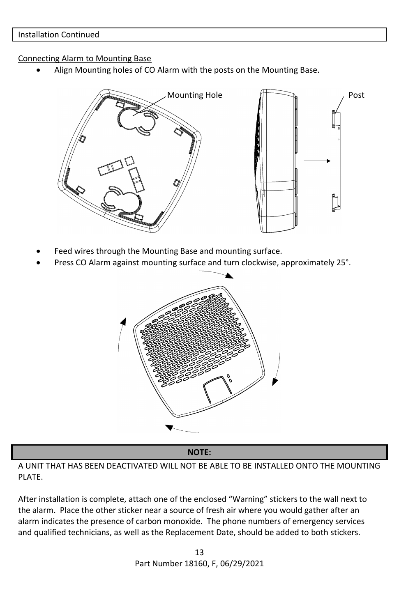#### Connecting Alarm to Mounting Base

• Align Mounting holes of CO Alarm with the posts on the Mounting Base.



- Feed wires through the Mounting Base and mounting surface.
- Press CO Alarm against mounting surface and turn clockwise, approximately 25°.



**NOTE:**

A UNIT THAT HAS BEEN DEACTIVATED WILL NOT BE ABLE TO BE INSTALLED ONTO THE MOUNTING PLATE.

After installation is complete, attach one of the enclosed "Warning" stickers to the wall next to the alarm. Place the other sticker near a source of fresh air where you would gather after an alarm indicates the presence of carbon monoxide. The phone numbers of emergency services and qualified technicians, as well as the Replacement Date, should be added to both stickers.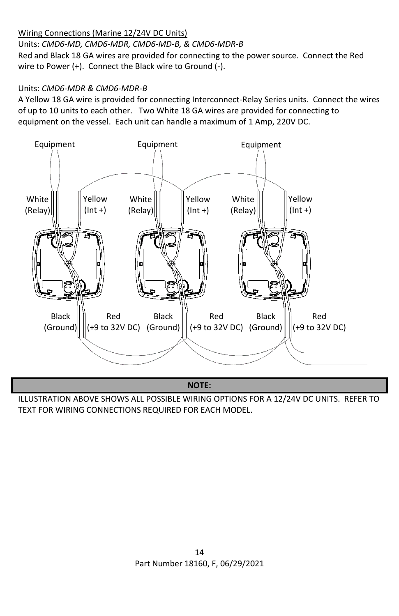## Wiring Connections (Marine 12/24V DC Units)

Units: *CMD6-MD, CMD6-MDR, CMD6-MD-B, & CMD6-MDR-B* Red and Black 18 GA wires are provided for connecting to the power source. Connect the Red wire to Power (+). Connect the Black wire to Ground (-).

## Units: *CMD6-MDR & CMD6-MDR-B*

A Yellow 18 GA wire is provided for connecting Interconnect-Relay Series units. Connect the wires of up to 10 units to each other. Two White 18 GA wires are provided for connecting to equipment on the vessel. Each unit can handle a maximum of 1 Amp, 220V DC.



**NOTE:**

ILLUSTRATION ABOVE SHOWS ALL POSSIBLE WIRING OPTIONS FOR A 12/24V DC UNITS. REFER TO TEXT FOR WIRING CONNECTIONS REQUIRED FOR EACH MODEL.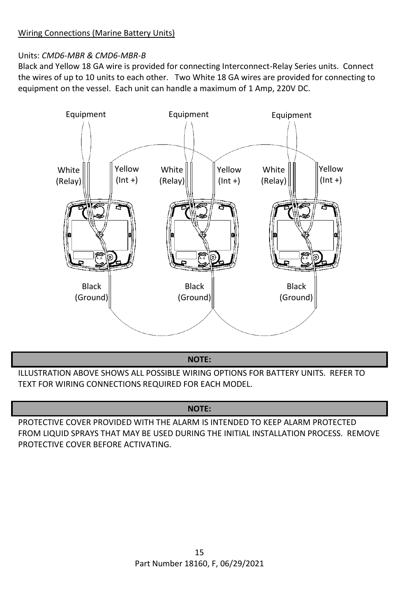## Units: *CMD6-MBR & CMD6-MBR-B*

Black and Yellow 18 GA wire is provided for connecting Interconnect-Relay Series units. Connect the wires of up to 10 units to each other. Two White 18 GA wires are provided for connecting to equipment on the vessel. Each unit can handle a maximum of 1 Amp, 220V DC.



**NOTE:**

ILLUSTRATION ABOVE SHOWS ALL POSSIBLE WIRING OPTIONS FOR BATTERY UNITS. REFER TO TEXT FOR WIRING CONNECTIONS REQUIRED FOR EACH MODEL.

## **NOTE:**

PROTECTIVE COVER PROVIDED WITH THE ALARM IS INTENDED TO KEEP ALARM PROTECTED FROM LIQUID SPRAYS THAT MAY BE USED DURING THE INITIAL INSTALLATION PROCESS. REMOVE PROTECTIVE COVER BEFORE ACTIVATING.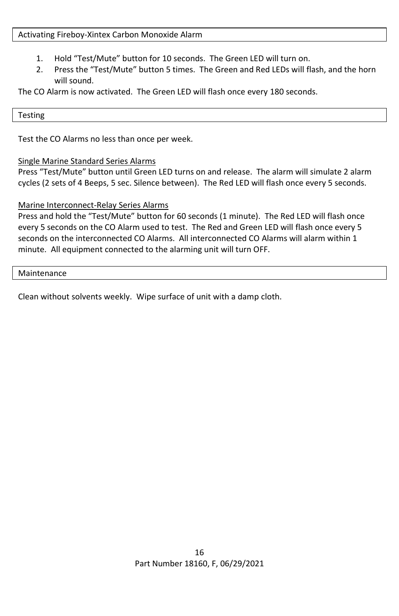#### Activating Fireboy-Xintex Carbon Monoxide Alarm

- 1. Hold "Test/Mute" button for 10 seconds. The Green LED will turn on.
- 2. Press the "Test/Mute" button 5 times. The Green and Red LEDs will flash, and the horn will sound.

The CO Alarm is now activated. The Green LED will flash once every 180 seconds.

#### Testing

Test the CO Alarms no less than once per week.

## Single Marine Standard Series Alarms

Press "Test/Mute" button until Green LED turns on and release. The alarm will simulate 2 alarm cycles (2 sets of 4 Beeps, 5 sec. Silence between). The Red LED will flash once every 5 seconds.

## Marine Interconnect-Relay Series Alarms

Press and hold the "Test/Mute" button for 60 seconds (1 minute). The Red LED will flash once every 5 seconds on the CO Alarm used to test. The Red and Green LED will flash once every 5 seconds on the interconnected CO Alarms. All interconnected CO Alarms will alarm within 1 minute. All equipment connected to the alarming unit will turn OFF.

#### Maintenance

Clean without solvents weekly. Wipe surface of unit with a damp cloth.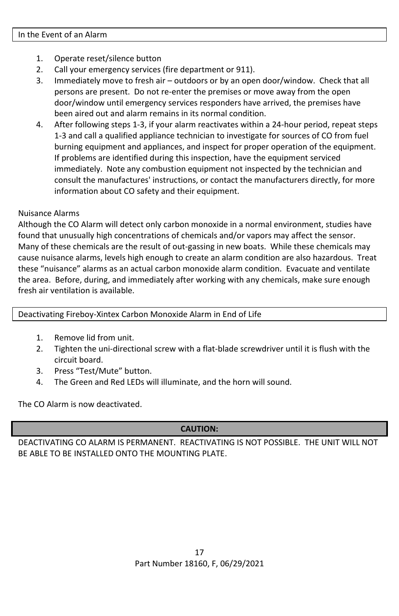- 1. Operate reset/silence button
- 2. Call your emergency services (fire department or 911).
- 3. Immediately move to fresh air outdoors or by an open door/window. Check that all persons are present. Do not re-enter the premises or move away from the open door/window until emergency services responders have arrived, the premises have been aired out and alarm remains in its normal condition.
- 4. After following steps 1-3, if your alarm reactivates within a 24-hour period, repeat steps 1-3 and call a qualified appliance technician to investigate for sources of CO from fuel burning equipment and appliances, and inspect for proper operation of the equipment. If problems are identified during this inspection, have the equipment serviced immediately. Note any combustion equipment not inspected by the technician and consult the manufactures' instructions, or contact the manufacturers directly, for more information about CO safety and their equipment.

#### Nuisance Alarms

Although the CO Alarm will detect only carbon monoxide in a normal environment, studies have found that unusually high concentrations of chemicals and/or vapors may affect the sensor. Many of these chemicals are the result of out-gassing in new boats. While these chemicals may cause nuisance alarms, levels high enough to create an alarm condition are also hazardous. Treat these "nuisance" alarms as an actual carbon monoxide alarm condition. Evacuate and ventilate the area. Before, during, and immediately after working with any chemicals, make sure enough fresh air ventilation is available.

Deactivating Fireboy-Xintex Carbon Monoxide Alarm in End of Life

- 1. Remove lid from unit.
- 2. Tighten the uni-directional screw with a flat-blade screwdriver until it is flush with the circuit board.
- 3. Press "Test/Mute" button.
- 4. The Green and Red LEDs will illuminate, and the horn will sound.

The CO Alarm is now deactivated.

## **CAUTION:**

DEACTIVATING CO ALARM IS PERMANENT. REACTIVATING IS NOT POSSIBLE. THE UNIT WILL NOT BE ABLE TO BE INSTALLED ONTO THE MOUNTING PLATE.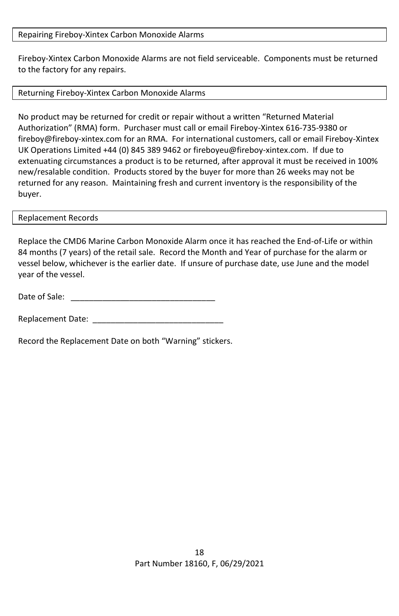#### Repairing Fireboy-Xintex Carbon Monoxide Alarms

Fireboy-Xintex Carbon Monoxide Alarms are not field serviceable. Components must be returned to the factory for any repairs.

#### Returning Fireboy-Xintex Carbon Monoxide Alarms

No product may be returned for credit or repair without a written "Returned Material Authorization" (RMA) form. Purchaser must call or email Fireboy-Xintex 616-735-9380 or fireboy@fireboy-xintex.com for an RMA. For international customers, call or email Fireboy-Xintex UK Operations Limited +44 (0) 845 389 9462 or fireboyeu@fireboy-xintex.com. If due to extenuating circumstances a product is to be returned, after approval it must be received in 100% new/resalable condition. Products stored by the buyer for more than 26 weeks may not be returned for any reason. Maintaining fresh and current inventory is the responsibility of the buyer.

#### Replacement Records

Replace the CMD6 Marine Carbon Monoxide Alarm once it has reached the End-of-Life or within 84 months (7 years) of the retail sale. Record the Month and Year of purchase for the alarm or vessel below, whichever is the earlier date. If unsure of purchase date, use June and the model year of the vessel.

Date of Sale:

Replacement Date:

Record the Replacement Date on both "Warning" stickers.